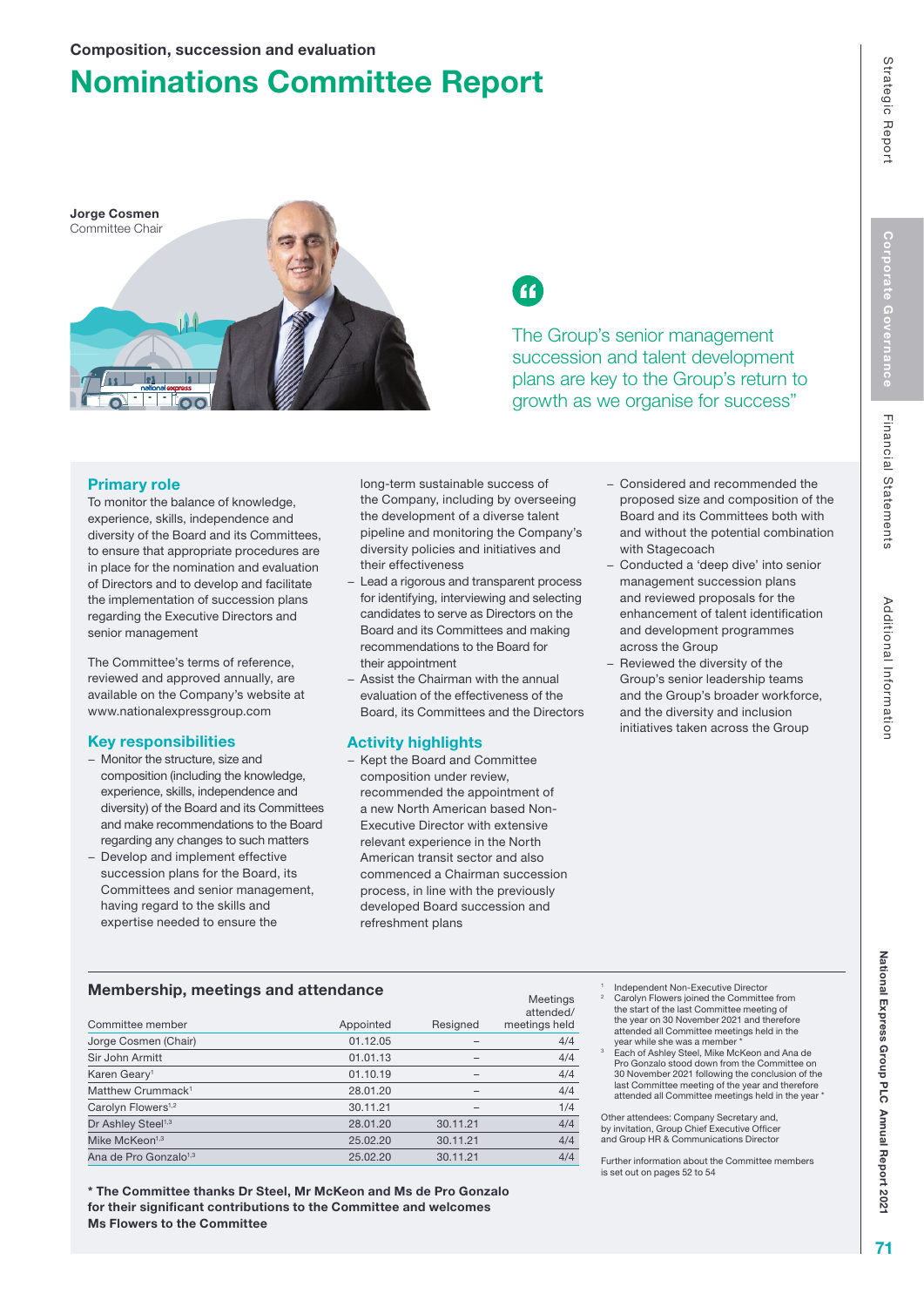# Nominations Committee Report





The Group's senior management succession and talent development plans are key to the Group's return to growth as we organise for success"

## Primary role

To monitor the balance of knowledge, experience, skills, independence and diversity of the Board and its Committees, to ensure that appropriate procedures are in place for the nomination and evaluation of Directors and to develop and facilitate the implementation of succession plans regarding the Executive Directors and senior management

The Committee's terms of reference, reviewed and approved annually, are available on the Company's website at www.nationalexpressgroup.com

## Key responsibilities

- − Monitor the structure, size and composition (including the knowledge, experience, skills, independence and diversity) of the Board and its Committees and make recommendations to the Board regarding any changes to such matters
- − Develop and implement effective succession plans for the Board, its Committees and senior management, having regard to the skills and expertise needed to ensure the

long-term sustainable success of the Company, including by overseeing the development of a diverse talent pipeline and monitoring the Company's diversity policies and initiatives and their effectiveness

- − Lead a rigorous and transparent process for identifying, interviewing and selecting candidates to serve as Directors on the Board and its Committees and making recommendations to the Board for their appointment
- − Assist the Chairman with the annual evaluation of the effectiveness of the Board, its Committees and the Directors

## Activity highlights

− Kept the Board and Committee composition under review, recommended the appointment of a new North American based Non-Executive Director with extensive relevant experience in the North American transit sector and also commenced a Chairman succession process, in line with the previously developed Board succession and refreshment plans

Meetings

- − Considered and recommended the proposed size and composition of the Board and its Committees both with and without the potential combination with Stagecoach
- − Conducted a 'deep dive' into senior management succession plans and reviewed proposals for the enhancement of talent identification and development programmes across the Group
- Reviewed the diversity of the Group's senior leadership teams and the Group's broader workforce, and the diversity and inclusion initiatives taken across the Group

## Membership, meetings and attendance

| Committee member                  | Appointed | Resigned | meemna<br>attended/<br>meetings held |
|-----------------------------------|-----------|----------|--------------------------------------|
| Jorge Cosmen (Chair)              | 01.12.05  |          | 4/4                                  |
| Sir John Armitt                   | 01.01.13  |          | 4/4                                  |
| Karen Geary <sup>1</sup>          | 01.10.19  |          | 4/4                                  |
| Matthew Crummack <sup>1</sup>     | 28.01.20  | -        | 4/4                                  |
| Carolyn Flowers <sup>1,2</sup>    | 30.11.21  |          | 1/4                                  |
| Dr Ashley Steel <sup>1,3</sup>    | 28.01.20  | 30.11.21 | 4/4                                  |
| Mike McKeon <sup>1,3</sup>        | 25.02.20  | 30.11.21 | 4/4                                  |
| Ana de Pro Gonzalo <sup>1,3</sup> | 25.02.20  | 30.11.21 | 4/4                                  |
|                                   |           |          |                                      |

\* The Committee thanks Dr Steel, Mr McKeon and Ms de Pro Gonzalo for their significant contributions to the Committee and welcomes Ms Flowers to the Committee

- 1 Independent Non-Executive Director<br>Carolyn Flowers joined the Committee from the start of the last Committee meeting of the year on 30 November 2021 and therefore attended all Committee meetings held in the
- year while she was a member \* Each of Ashley Steel, Mike McKeon and Ana de 3 Pro Gonzalo stood down from the Committee on 30 November 2021 following the conclusion of the last Committee meeting of the year and therefore attended all Committee meetings held in the year

Other attendees: Company Secretary and, by invitation, Group Chief Executive Officer and Group HR & Communications Director

Further information about the Committee members is set out on pages 52 to 54

Financial Statements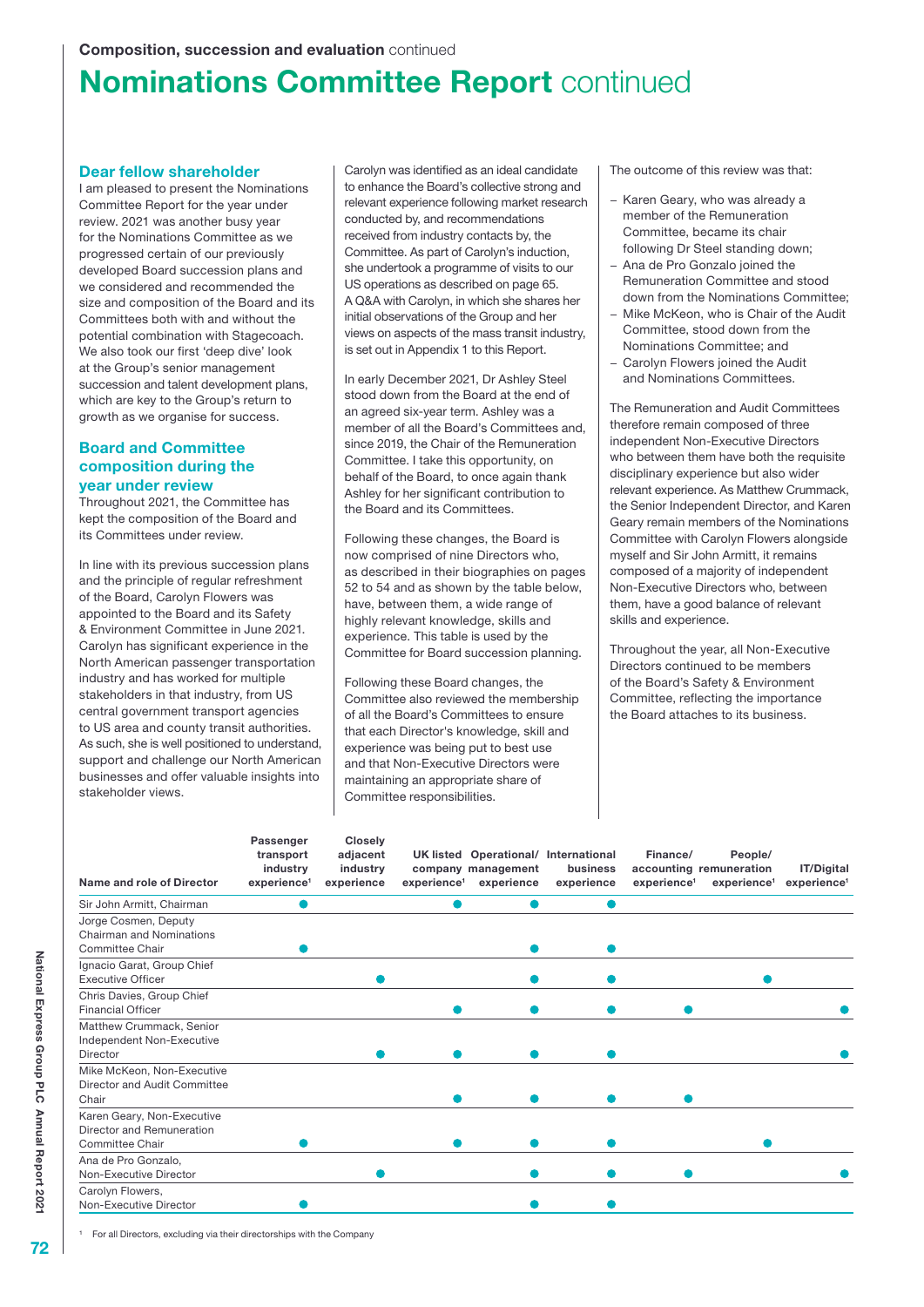# **Nominations Committee Report continued**

#### Dear fellow shareholder

I am pleased to present the Nominations Committee Report for the year under review. 2021 was another busy year for the Nominations Committee as we progressed certain of our previously developed Board succession plans and we considered and recommended the size and composition of the Board and its Committees both with and without the potential combination with Stagecoach. We also took our first 'deep dive' look at the Group's senior management succession and talent development plans, which are key to the Group's return to growth as we organise for success.

## Board and Committee composition during the year under review

Throughout 2021, the Committee has kept the composition of the Board and its Committees under review.

In line with its previous succession plans and the principle of regular refreshment of the Board, Carolyn Flowers was appointed to the Board and its Safety & Environment Committee in June 2021. Carolyn has significant experience in the North American passenger transportation industry and has worked for multiple stakeholders in that industry, from US central government transport agencies to US area and county transit authorities. As such, she is well positioned to understand, support and challenge our North American businesses and offer valuable insights into stakeholder views.

Carolyn was identified as an ideal candidate to enhance the Board's collective strong and relevant experience following market research conducted by, and recommendations received from industry contacts by, the Committee. As part of Carolyn's induction, she undertook a programme of visits to our US operations as described on page 65. A Q&A with Carolyn, in which she shares her initial observations of the Group and her views on aspects of the mass transit industry, is set out in Appendix 1 to this Report.

In early December 2021, Dr Ashley Steel stood down from the Board at the end of an agreed six-year term. Ashley was a member of all the Board's Committees and, since 2019, the Chair of the Remuneration Committee. I take this opportunity, on behalf of the Board, to once again thank Ashley for her significant contribution to the Board and its Committees.

Following these changes, the Board is now comprised of nine Directors who, as described in their biographies on pages 52 to 54 and as shown by the table below, have, between them, a wide range of highly relevant knowledge, skills and experience. This table is used by the Committee for Board succession planning.

Following these Board changes, the Committee also reviewed the membership of all the Board's Committees to ensure that each Director's knowledge, skill and experience was being put to best use and that Non-Executive Directors were maintaining an appropriate share of Committee responsibilities.

The outcome of this review was that:

- − Karen Geary, who was already a member of the Remuneration Committee, became its chair following Dr Steel standing down;
- − Ana de Pro Gonzalo joined the Remuneration Committee and stood down from the Nominations Committee;
- − Mike McKeon, who is Chair of the Audit Committee, stood down from the Nominations Committee; and
- − Carolyn Flowers joined the Audit and Nominations Committees.

The Remuneration and Audit Committees therefore remain composed of three independent Non-Executive Directors who between them have both the requisite disciplinary experience but also wider relevant experience. As Matthew Crummack, the Senior Independent Director, and Karen Geary remain members of the Nominations Committee with Carolyn Flowers alongside myself and Sir John Armitt, it remains composed of a majority of independent Non-Executive Directors who, between them, have a good balance of relevant skills and experience.

Throughout the year, all Non-Executive Directors continued to be members of the Board's Safety & Environment Committee, reflecting the importance the Board attaches to its business.

| Name and role of Director                                                  | Passenger<br>transport<br>industry<br>experience <sup>1</sup> | <b>Closely</b><br>adjacent<br>industry<br>experience | experience <sup>1</sup> | company management<br>experience | UK listed Operational/ International<br>business<br>experience | Finance/<br>experience <sup>1</sup> | People/<br>accounting remuneration<br>experience <sup>1</sup> | IT/Digital<br>experience <sup>1</sup> |
|----------------------------------------------------------------------------|---------------------------------------------------------------|------------------------------------------------------|-------------------------|----------------------------------|----------------------------------------------------------------|-------------------------------------|---------------------------------------------------------------|---------------------------------------|
| Sir John Armitt, Chairman                                                  |                                                               |                                                      |                         |                                  |                                                                |                                     |                                                               |                                       |
| Jorge Cosmen, Deputy<br><b>Chairman and Nominations</b><br>Committee Chair |                                                               |                                                      |                         |                                  |                                                                |                                     |                                                               |                                       |
| Ignacio Garat, Group Chief<br><b>Executive Officer</b>                     |                                                               |                                                      |                         |                                  |                                                                |                                     |                                                               |                                       |
| Chris Davies, Group Chief<br><b>Financial Officer</b>                      |                                                               |                                                      |                         |                                  |                                                                |                                     |                                                               |                                       |
| Matthew Crummack, Senior<br>Independent Non-Executive<br><b>Director</b>   |                                                               |                                                      |                         |                                  |                                                                |                                     |                                                               |                                       |
| Mike McKeon, Non-Executive<br>Director and Audit Committee<br>Chair        |                                                               |                                                      |                         |                                  |                                                                |                                     |                                                               |                                       |
| Karen Geary, Non-Executive<br>Director and Remuneration<br>Committee Chair |                                                               |                                                      |                         |                                  |                                                                |                                     |                                                               |                                       |
| Ana de Pro Gonzalo,<br>Non-Executive Director                              |                                                               |                                                      |                         |                                  |                                                                |                                     |                                                               |                                       |
| Carolyn Flowers,<br>Non-Executive Director                                 |                                                               |                                                      |                         |                                  |                                                                |                                     |                                                               |                                       |

For all Directors, excluding via their directorships with the Company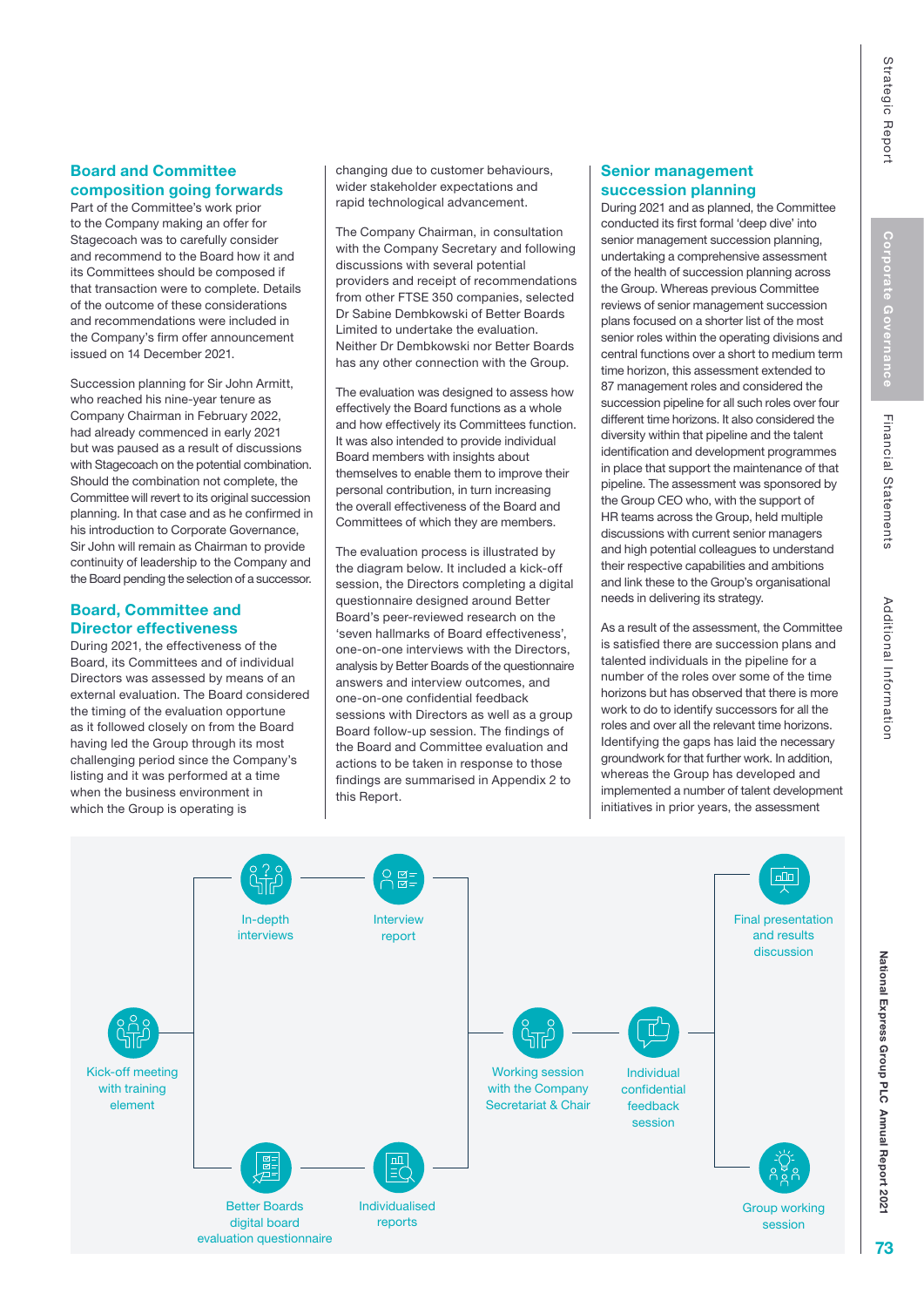# Financial Statements

## Board and Committee composition going forwards

Part of the Committee's work prior to the Company making an offer for Stagecoach was to carefully consider and recommend to the Board how it and its Committees should be composed if that transaction were to complete. Details of the outcome of these considerations and recommendations were included in the Company's firm offer announcement issued on 14 December 2021.

Succession planning for Sir John Armitt, who reached his nine-year tenure as Company Chairman in February 2022, had already commenced in early 2021 but was paused as a result of discussions with Stagecoach on the potential combination. Should the combination not complete, the Committee will revert to its original succession planning. In that case and as he confirmed in his introduction to Corporate Governance, Sir John will remain as Chairman to provide continuity of leadership to the Company and the Board pending the selection of a successor.

## Board, Committee and Director effectiveness

During 2021, the effectiveness of the Board, its Committees and of individual Directors was assessed by means of an external evaluation. The Board considered the timing of the evaluation opportune as it followed closely on from the Board having led the Group through its most challenging period since the Company's listing and it was performed at a time when the business environment in which the Group is operating is

changing due to customer behaviours, wider stakeholder expectations and rapid technological advancement.

The Company Chairman, in consultation with the Company Secretary and following discussions with several potential providers and receipt of recommendations from other FTSE 350 companies, selected Dr Sabine Dembkowski of Better Boards Limited to undertake the evaluation. Neither Dr Dembkowski nor Better Boards has any other connection with the Group.

The evaluation was designed to assess how effectively the Board functions as a whole and how effectively its Committees function. It was also intended to provide individual Board members with insights about themselves to enable them to improve their personal contribution, in turn increasing the overall effectiveness of the Board and Committees of which they are members.

The evaluation process is illustrated by the diagram below. It included a kick-off session, the Directors completing a digital questionnaire designed around Better Board's peer-reviewed research on the 'seven hallmarks of Board effectiveness', one-on-one interviews with the Directors, analysis by Better Boards of the questionnaire answers and interview outcomes, and one-on-one confidential feedback sessions with Directors as well as a group Board follow-up session. The findings of the Board and Committee evaluation and actions to be taken in response to those findings are summarised in Appendix 2 to this Report.

## Senior management succession planning

During 2021 and as planned, the Committee conducted its first formal 'deep dive' into senior management succession planning, undertaking a comprehensive assessment of the health of succession planning across the Group. Whereas previous Committee reviews of senior management succession plans focused on a shorter list of the most senior roles within the operating divisions and central functions over a short to medium term time horizon, this assessment extended to 87 management roles and considered the succession pipeline for all such roles over four different time horizons. It also considered the diversity within that pipeline and the talent identification and development programmes in place that support the maintenance of that pipeline. The assessment was sponsored by the Group CEO who, with the support of HR teams across the Group, held multiple discussions with current senior managers and high potential colleagues to understand their respective capabilities and ambitions and link these to the Group's organisational needs in delivering its strategy.

As a result of the assessment, the Committee is satisfied there are succession plans and talented individuals in the pipeline for a number of the roles over some of the time horizons but has observed that there is more work to do to identify successors for all the roles and over all the relevant time horizons. Identifying the gaps has laid the necessary groundwork for that further work. In addition, whereas the Group has developed and implemented a number of talent development initiatives in prior years, the assessment



National Express Group PLC

National Express Group PLC Annual Report 202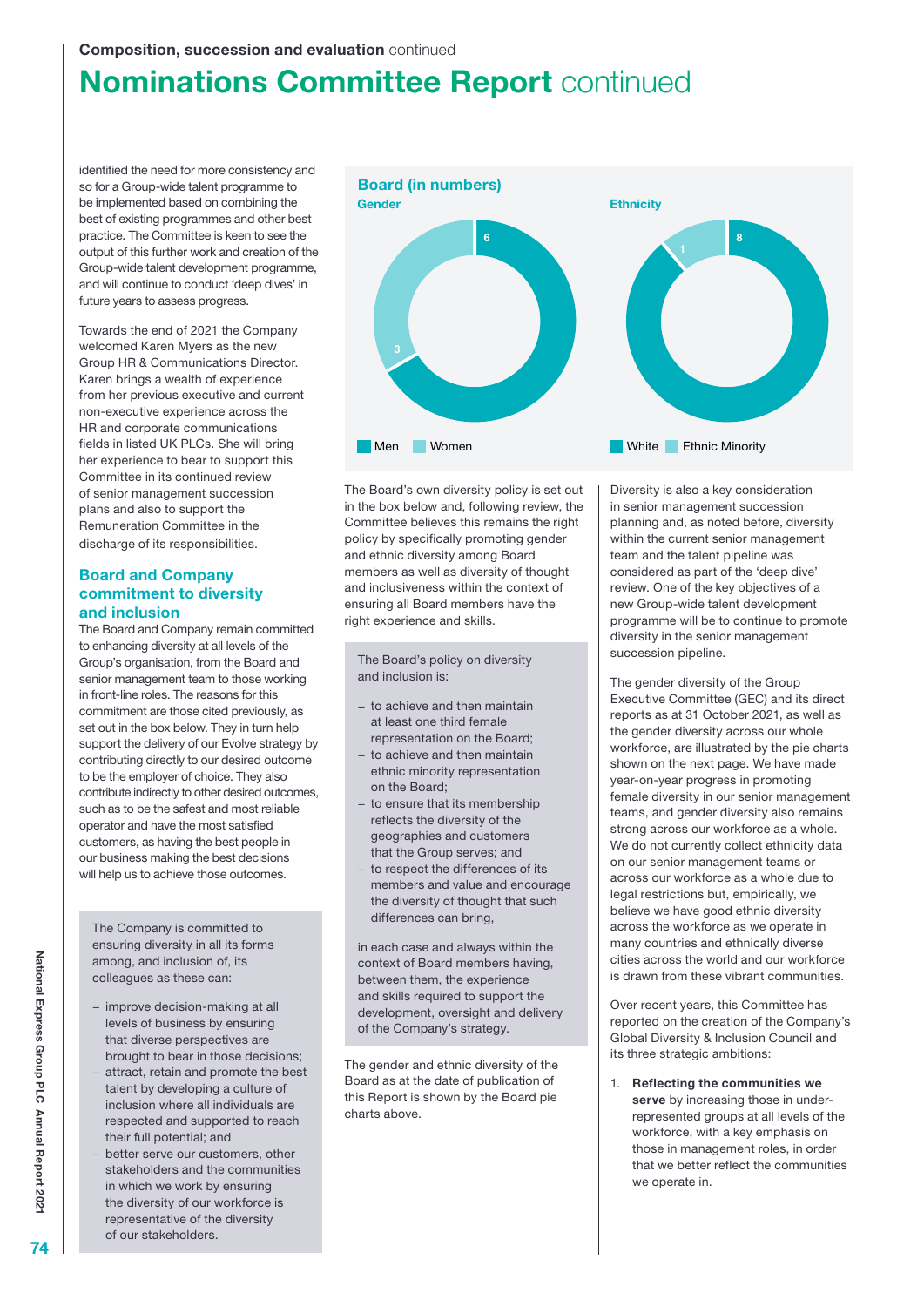# **Nominations Committee Report continued**

identified the need for more consistency and so for a Group-wide talent programme to be implemented based on combining the best of existing programmes and other best practice. The Committee is keen to see the output of this further work and creation of the Group-wide talent development programme, and will continue to conduct 'deep dives' in future years to assess progress.

Towards the end of 2021 the Company welcomed Karen Myers as the new Group HR & Communications Director. Karen brings a wealth of experience from her previous executive and current non-executive experience across the HR and corporate communications fields in listed UK PLCs. She will bring her experience to bear to support this Committee in its continued review of senior management succession plans and also to support the Remuneration Committee in the discharge of its responsibilities.

## Board and Company commitment to diversity and inclusion

The Board and Company remain committed to enhancing diversity at all levels of the Group's organisation, from the Board and senior management team to those working in front-line roles. The reasons for this commitment are those cited previously, as set out in the box below. They in turn help support the delivery of our Evolve strategy by contributing directly to our desired outcome to be the employer of choice. They also contribute indirectly to other desired outcomes, such as to be the safest and most reliable operator and have the most satisfied customers, as having the best people in our business making the best decisions will help us to achieve those outcomes.

The Company is committed to ensuring diversity in all its forms among, and inclusion of, its colleagues as these can:

- − improve decision-making at all levels of business by ensuring that diverse perspectives are brought to bear in those decisions;
- − attract, retain and promote the best talent by developing a culture of inclusion where all individuals are respected and supported to reach their full potential; and
- − better serve our customers, other stakeholders and the communities in which we work by ensuring the diversity of our workforce is representative of the diversity of our stakeholders.



The Board's own diversity policy is set out in the box below and, following review, the Committee believes this remains the right policy by specifically promoting gender and ethnic diversity among Board members as well as diversity of thought and inclusiveness within the context of ensuring all Board members have the right experience and skills.

The Board's policy on diversity and inclusion is:

- − to achieve and then maintain at least one third female representation on the Board;
- − to achieve and then maintain ethnic minority representation on the Board;
- − to ensure that its membership reflects the diversity of the geographies and customers that the Group serves; and
- − to respect the differences of its members and value and encourage the diversity of thought that such differences can bring,

in each case and always within the context of Board members having, between them, the experience and skills required to support the development, oversight and delivery of the Company's strategy.

The gender and ethnic diversity of the Board as at the date of publication of this Report is shown by the Board pie charts above.

Diversity is also a key consideration in senior management succession planning and, as noted before, diversity within the current senior management team and the talent pipeline was considered as part of the 'deep dive' review. One of the key objectives of a new Group-wide talent development programme will be to continue to promote diversity in the senior management succession pipeline.

The gender diversity of the Group Executive Committee (GEC) and its direct reports as at 31 October 2021, as well as the gender diversity across our whole workforce, are illustrated by the pie charts shown on the next page. We have made year-on-year progress in promoting female diversity in our senior management teams, and gender diversity also remains strong across our workforce as a whole. We do not currently collect ethnicity data on our senior management teams or across our workforce as a whole due to legal restrictions but, empirically, we believe we have good ethnic diversity across the workforce as we operate in many countries and ethnically diverse cities across the world and our workforce is drawn from these vibrant communities.

Over recent years, this Committee has reported on the creation of the Company's Global Diversity & Inclusion Council and its three strategic ambitions:

1. Reflecting the communities we serve by increasing those in underrepresented groups at all levels of the workforce, with a key emphasis on those in management roles, in order that we better reflect the communities we operate in.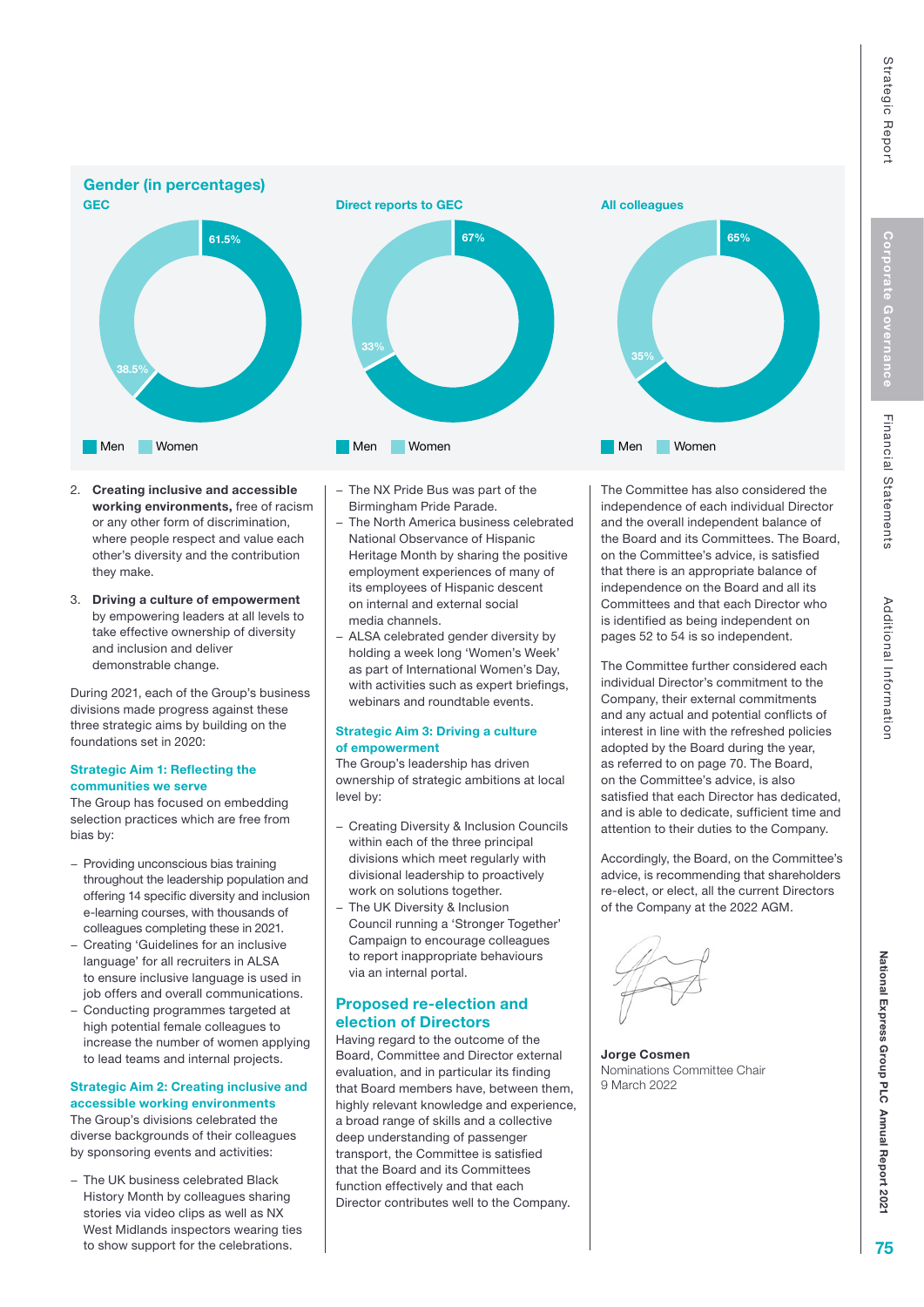

- 2. Creating inclusive and accessible working environments, free of racism or any other form of discrimination, where people respect and value each other's diversity and the contribution they make.
- 3. Driving a culture of empowerment by empowering leaders at all levels to take effective ownership of diversity and inclusion and deliver demonstrable change.

During 2021, each of the Group's business divisions made progress against these three strategic aims by building on the foundations set in 2020:

#### Strategic Aim 1: Reflecting the communities we serve

The Group has focused on embedding selection practices which are free from bias by:

- − Providing unconscious bias training throughout the leadership population and offering 14 specific diversity and inclusion e-learning courses, with thousands of colleagues completing these in 2021.
- − Creating 'Guidelines for an inclusive language' for all recruiters in ALSA to ensure inclusive language is used in job offers and overall communications.
- − Conducting programmes targeted at high potential female colleagues to increase the number of women applying to lead teams and internal projects.

### Strategic Aim 2: Creating inclusive and accessible working environments

The Group's divisions celebrated the diverse backgrounds of their colleagues by sponsoring events and activities:

− The UK business celebrated Black History Month by colleagues sharing stories via video clips as well as NX West Midlands inspectors wearing ties to show support for the celebrations.

- − The NX Pride Bus was part of the Birmingham Pride Parade.
- − The North America business celebrated National Observance of Hispanic Heritage Month by sharing the positive employment experiences of many of its employees of Hispanic descent on internal and external social media channels.
- − ALSA celebrated gender diversity by holding a week long 'Women's Week' as part of International Women's Day, with activities such as expert briefings, webinars and roundtable events.

#### Strategic Aim 3: Driving a culture of empowerment

The Group's leadership has driven ownership of strategic ambitions at local level by:

- − Creating Diversity & Inclusion Councils within each of the three principal divisions which meet regularly with divisional leadership to proactively work on solutions together.
- − The UK Diversity & Inclusion Council running a 'Stronger Together' Campaign to encourage colleagues to report inappropriate behaviours via an internal portal.

## Proposed re-election and election of Directors

Having regard to the outcome of the Board, Committee and Director external evaluation, and in particular its finding that Board members have, between them, highly relevant knowledge and experience, a broad range of skills and a collective deep understanding of passenger transport, the Committee is satisfied that the Board and its Committees function effectively and that each Director contributes well to the Company.

The Committee has also considered the independence of each individual Director and the overall independent balance of the Board and its Committees. The Board, on the Committee's advice, is satisfied that there is an appropriate balance of independence on the Board and all its Committees and that each Director who is identified as being independent on pages 52 to 54 is so independent.

The Committee further considered each individual Director's commitment to the Company, their external commitments and any actual and potential conflicts of interest in line with the refreshed policies adopted by the Board during the year, as referred to on page 70. The Board, on the Committee's advice, is also satisfied that each Director has dedicated, and is able to dedicate, sufficient time and attention to their duties to the Company.

Accordingly, the Board, on the Committee's advice, is recommending that shareholders re-elect, or elect, all the current Directors of the Company at the 2022 AGM.

Jorge Cosmen Nominations Committee Chair 9 March 2022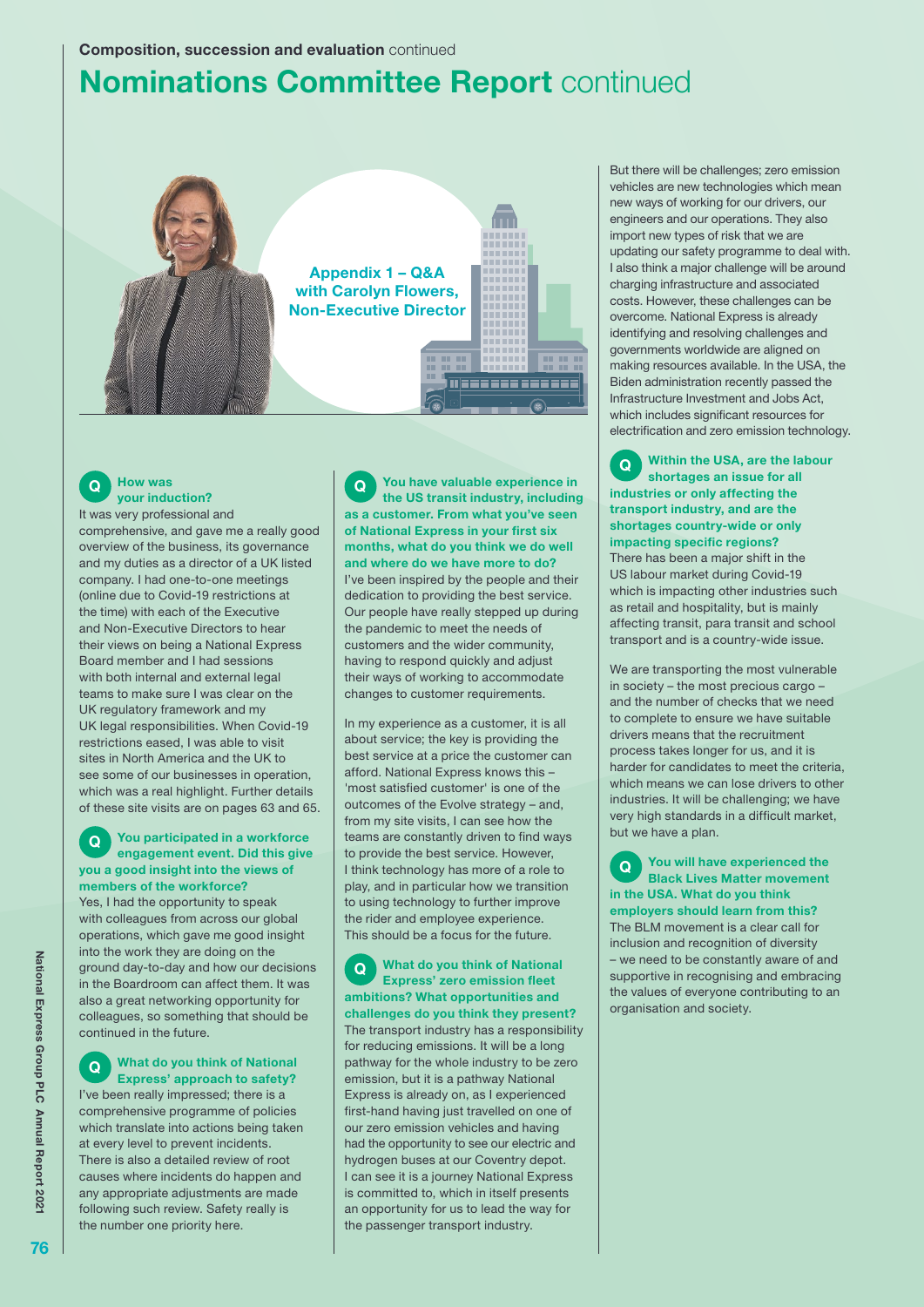# **Nominations Committee Report continued**



## Q How was your induction?

It was very professional and comprehensive, and gave me a really good overview of the business, its governance and my duties as a director of a UK listed company. I had one-to-one meetings (online due to Covid-19 restrictions at the time) with each of the Executive and Non-Executive Directors to hear their views on being a National Express Board member and I had sessions with both internal and external legal teams to make sure I was clear on the UK regulatory framework and my UK legal responsibilities. When Covid-19 restrictions eased, I was able to visit sites in North America and the UK to see some of our businesses in operation, which was a real highlight. Further details of these site visits are on pages 63 and 65.

#### **Q** You participated in a workforce engagement event. Did this give you a good insight into the views of members of the workforce?

Yes, I had the opportunity to speak with colleagues from across our global operations, which gave me good insight into the work they are doing on the ground day-to-day and how our decisions in the Boardroom can affect them. It was also a great networking opportunity for colleagues, so something that should be continued in the future.

Q What do you think of National Express' approach to safety? I've been really impressed; there is a comprehensive programme of policies which translate into actions being taken at every level to prevent incidents. There is also a detailed review of root causes where incidents do happen and any appropriate adjustments are made following such review. Safety really is the number one priority here.

Q You have valuable experience in the US transit industry, including as a customer. From what you've seen of National Express in your first six months, what do you think we do well and where do we have more to do? I've been inspired by the people and their dedication to providing the best service. Our people have really stepped up during the pandemic to meet the needs of customers and the wider community, having to respond quickly and adjust their ways of working to accommodate changes to customer requirements.

In my experience as a customer, it is all about service; the key is providing the best service at a price the customer can afford. National Express knows this – 'most satisfied customer' is one of the outcomes of the Evolve strategy – and, from my site visits, I can see how the teams are constantly driven to find ways to provide the best service. However, I think technology has more of a role to play, and in particular how we transition to using technology to further improve the rider and employee experience. This should be a focus for the future.

Q What do you think of National Express' zero emission fleet ambitions? What opportunities and challenges do you think they present? The transport industry has a responsibility for reducing emissions. It will be a long pathway for the whole industry to be zero emission, but it is a pathway National Express is already on, as I experienced first-hand having just travelled on one of our zero emission vehicles and having had the opportunity to see our electric and hydrogen buses at our Coventry depot. I can see it is a journey National Express is committed to, which in itself presents an opportunity for us to lead the way for the passenger transport industry.

But there will be challenges; zero emission vehicles are new technologies which mean new ways of working for our drivers, our engineers and our operations. They also import new types of risk that we are updating our safety programme to deal with. I also think a major challenge will be around charging infrastructure and associated costs. However, these challenges can be overcome. National Express is already identifying and resolving challenges and governments worldwide are aligned on making resources available. In the USA, the Biden administration recently passed the Infrastructure Investment and Jobs Act, which includes significant resources for electrification and zero emission technology.

Q Within the USA, are the labour shortages an issue for all industries or only affecting the transport industry, and are the shortages country-wide or only impacting specific regions? There has been a major shift in the US labour market during Covid-19 which is impacting other industries such as retail and hospitality, but is mainly affecting transit, para transit and school transport and is a country-wide issue.

We are transporting the most vulnerable in society – the most precious cargo – and the number of checks that we need to complete to ensure we have suitable drivers means that the recruitment process takes longer for us, and it is harder for candidates to meet the criteria, which means we can lose drivers to other industries. It will be challenging; we have very high standards in a difficult market, but we have a plan.

Q You will have experienced the Black Lives Matter movement in the USA. What do you think employers should learn from this? The BLM movement is a clear call for inclusion and recognition of diversity we need to be constantly aware of and supportive in recognising and embracing the values of everyone contributing to an organisation and society.